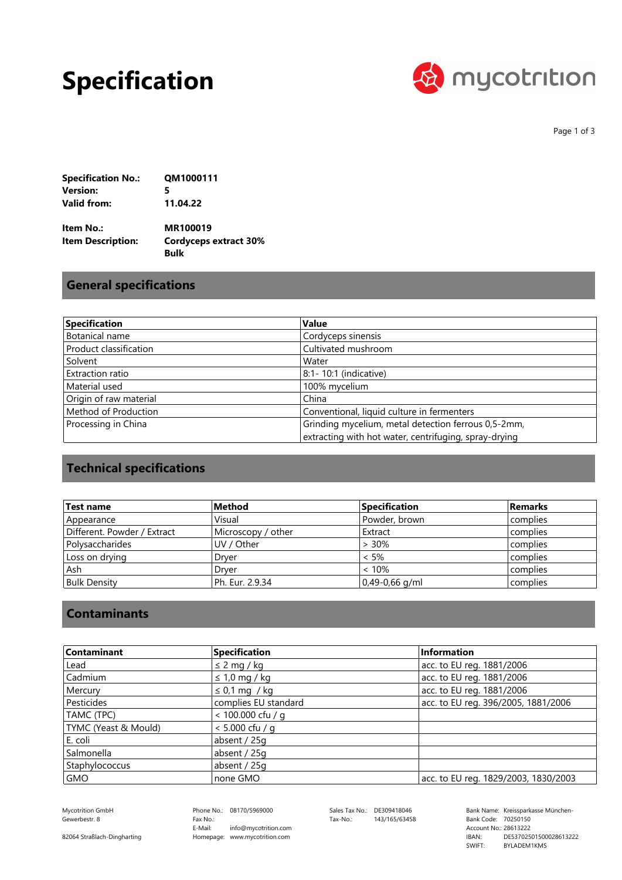## **Specification**



Page 1 of 3

| <b>Specification No.:</b> | QM1000111 |
|---------------------------|-----------|
| Version:                  | 5         |
| Valid from:               | 11.04.22  |

**Bulk Cordyceps extract 30% MR100019 Item Description: Item No.:**

### **General specifications**

| Specification          | <b>Value</b>                                          |
|------------------------|-------------------------------------------------------|
| Botanical name         | Cordyceps sinensis                                    |
| Product classification | Cultivated mushroom                                   |
| Solvent                | Water                                                 |
| Extraction ratio       | 8:1-10:1 (indicative)                                 |
| Material used          | 100% mycelium                                         |
| Origin of raw material | China                                                 |
| Method of Production   | Conventional, liquid culture in fermenters            |
| Processing in China    | Grinding mycelium, metal detection ferrous 0,5-2mm,   |
|                        | extracting with hot water, centrifuging, spray-drying |

## **Technical specifications**

| <b>Test name</b>            | Method             | <b>Specification</b> | <b>Remarks</b> |
|-----------------------------|--------------------|----------------------|----------------|
| Appearance                  | Visual             | Powder, brown        | complies       |
| Different. Powder / Extract | Microscopy / other | Extract              | complies       |
| l Polysaccharides           | UV / Other         | $> 30\%$             | complies       |
| Loss on drying              | Drver              | $< 5\%$              | complies       |
| Ash                         | Drver              | < 10%                | complies       |
| <b>Bulk Density</b>         | Ph. Eur. 2.9.34    | 0,49-0,66 g/ml       | complies       |

#### **Contaminants**

| Contaminant          | <b>Specification</b> | Information                          |
|----------------------|----------------------|--------------------------------------|
| Lead                 | $\leq$ 2 mg / kg     | acc. to EU reg. 1881/2006            |
| Cadmium              | $\leq 1.0$ mg / kg   | acc. to EU reg. 1881/2006            |
| Mercury              | $\leq$ 0,1 mg / kg   | acc. to EU reg. 1881/2006            |
| Pesticides           | complies EU standard | acc. to EU reg. 396/2005, 1881/2006  |
| TAMC (TPC)           | < 100.000 cfu / g    |                                      |
| TYMC (Yeast & Mould) | $< 5.000$ cfu / a    |                                      |
| E. coli              | absent / 25g         |                                      |
| Salmonella           | absent / 25g         |                                      |
| Staphylococcus       | absent / 25g         |                                      |
| GMO                  | none GMO             | acc. to EU reg. 1829/2003, 1830/2003 |

Gewerbestr. 8

82064 Straßlach-Dingharting

Phone No.: 08170/5969000 Homepage: www.mycotrition.com E-Mail: Fax No.: info@mycotrition.com

Tax-No.: 143/165/63458

Mycotrition GmbH 08170/5969000 Sales Tax No.: DE309418046 Bank Name: Kreissparkasse München-Bank Code: 70250150 SWIFT: IBAN: Bank Code: 70250150<br>Account No.: 28613222 DE53702501500028613222 BYLADEM1KMS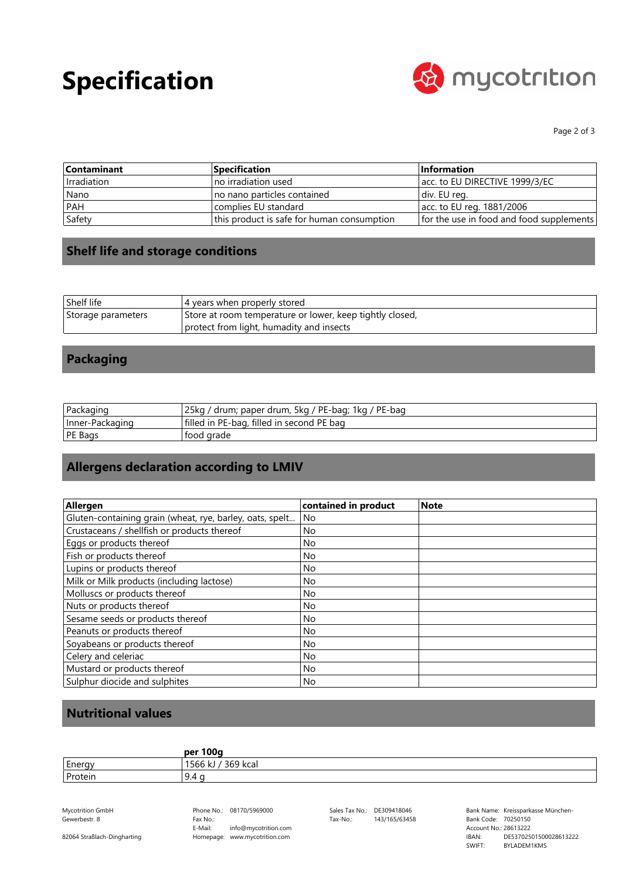# **Specification**



Page 2 of 3

| <b>Contaminant</b> | Specification                              | <b>Information</b>                       |
|--------------------|--------------------------------------------|------------------------------------------|
| I Irradiation      | Ino irradiation used                       | acc. to EU DIRECTIVE 1999/3/EC           |
| Nano               | no nano particles contained                | div. EU reg.                             |
| <b>PAH</b>         | complies EU standard                       | acc. to EU reg. 1881/2006                |
| Safety             | this product is safe for human consumption | for the use in food and food supplements |

### **Shelf life and storage conditions**

| Shelf life         | 4 years when properly stored                             |
|--------------------|----------------------------------------------------------|
| Storage parameters | Store at room temperature or lower, keep tightly closed, |
|                    | protect from light, humadity and insects                 |

### **Packaging**

| Packaging       | 25ka<br>' drum; paper drum, 5kg / PE-bag; 1kg / PE-bag |
|-----------------|--------------------------------------------------------|
| Inner-Packaging | filled in PE-bag, filled in second PE bag              |
| PE Bags         | tood grade                                             |

## **Allergens declaration according to LMIV**

| Allergen                                                 |                      | <b>Note</b> |
|----------------------------------------------------------|----------------------|-------------|
|                                                          | contained in product |             |
| Gluten-containing grain (wheat, rye, barley, oats, spelt | No                   |             |
| Crustaceans / shellfish or products thereof              | No                   |             |
| Eggs or products thereof                                 | No                   |             |
| Fish or products thereof                                 | No                   |             |
| Lupins or products thereof                               | <b>No</b>            |             |
| Milk or Milk products (including lactose)                | <b>No</b>            |             |
| Molluscs or products thereof                             | <b>No</b>            |             |
| Nuts or products thereof                                 | <b>No</b>            |             |
| Sesame seeds or products thereof                         | No.                  |             |
| Peanuts or products thereof                              | No                   |             |
| Soyabeans or products thereof                            | No.                  |             |
| Celery and celeriac                                      | No                   |             |
| Mustard or products thereof                              | <b>No</b>            |             |
| Sulphur diocide and sulphites                            | No                   |             |

## **Nutritional values**

|         | per 100g            |
|---------|---------------------|
| Energy  | 369 kcal<br>1566 kJ |
| Protein | 9.4                 |

Gewerbestr. 8

82064 Straßlach-Dingharting

Phone No.: 08170/5969000 Homepage: www.mycotrition.com E-Mail: Fax No.: info@mycotrition.com

Tax-No.: 143/165/63458

Mycotrition GmbH 08170/5969000 Sales Tax No.: DE309418046 Bank Name: Kreissparkasse München-Bank Code: 70250150 SWIFT: IBAN: Bank Code: 70250150<br>Account No.: 28613222 DE53702501500028613222 BYLADEM1KMS